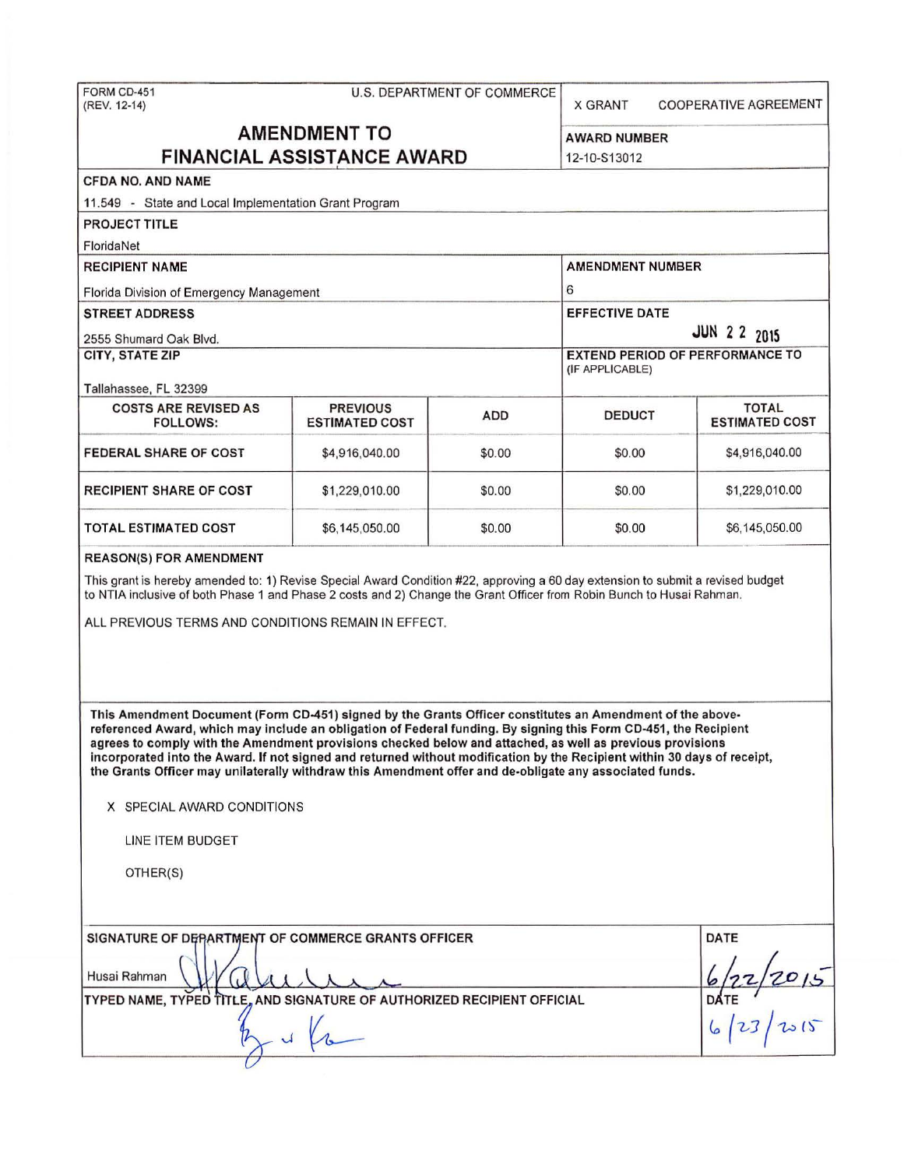| FORM CD-451<br>(REV. 12-14)                                                                                                                                                                                                                                                                                                                                                                                                                                                                                                                                                                                     |                                          | U.S. DEPARTMENT OF COMMERCE | <b>X GRANT</b>                         | <b>COOPERATIVE AGREEMENT</b>               |  |  |  |
|-----------------------------------------------------------------------------------------------------------------------------------------------------------------------------------------------------------------------------------------------------------------------------------------------------------------------------------------------------------------------------------------------------------------------------------------------------------------------------------------------------------------------------------------------------------------------------------------------------------------|------------------------------------------|-----------------------------|----------------------------------------|--------------------------------------------|--|--|--|
| <b>AMENDMENT TO</b><br><b>FINANCIAL ASSISTANCE AWARD</b>                                                                                                                                                                                                                                                                                                                                                                                                                                                                                                                                                        | <b>AWARD NUMBER</b><br>12-10-S13012      |                             |                                        |                                            |  |  |  |
| <b>CFDA NO. AND NAME</b>                                                                                                                                                                                                                                                                                                                                                                                                                                                                                                                                                                                        |                                          |                             |                                        |                                            |  |  |  |
| 11.549 - State and Local Implementation Grant Program                                                                                                                                                                                                                                                                                                                                                                                                                                                                                                                                                           |                                          |                             |                                        |                                            |  |  |  |
| <b>PROJECT TITLE</b>                                                                                                                                                                                                                                                                                                                                                                                                                                                                                                                                                                                            |                                          |                             |                                        |                                            |  |  |  |
| FloridaNet                                                                                                                                                                                                                                                                                                                                                                                                                                                                                                                                                                                                      |                                          |                             |                                        |                                            |  |  |  |
| <b>RECIPIENT NAME</b>                                                                                                                                                                                                                                                                                                                                                                                                                                                                                                                                                                                           | <b>AMENDMENT NUMBER</b>                  |                             |                                        |                                            |  |  |  |
| Florida Division of Emergency Management                                                                                                                                                                                                                                                                                                                                                                                                                                                                                                                                                                        | 6                                        |                             |                                        |                                            |  |  |  |
| <b>STREET ADDRESS</b>                                                                                                                                                                                                                                                                                                                                                                                                                                                                                                                                                                                           |                                          |                             | <b>EFFECTIVE DATE</b>                  |                                            |  |  |  |
| 2555 Shumard Oak Blvd.                                                                                                                                                                                                                                                                                                                                                                                                                                                                                                                                                                                          |                                          |                             | <b>JUN 2 2 2015</b>                    |                                            |  |  |  |
| <b>CITY, STATE ZIP</b>                                                                                                                                                                                                                                                                                                                                                                                                                                                                                                                                                                                          |                                          |                             | <b>EXTEND PERIOD OF PERFORMANCE TO</b> |                                            |  |  |  |
|                                                                                                                                                                                                                                                                                                                                                                                                                                                                                                                                                                                                                 |                                          |                             | (IF APPLICABLE)                        |                                            |  |  |  |
| Tallahassee, FL 32399                                                                                                                                                                                                                                                                                                                                                                                                                                                                                                                                                                                           |                                          |                             |                                        |                                            |  |  |  |
| <b>COSTS ARE REVISED AS</b><br><b>FOLLOWS:</b>                                                                                                                                                                                                                                                                                                                                                                                                                                                                                                                                                                  | <b>PREVIOUS</b><br><b>ESTIMATED COST</b> | <b>ADD</b>                  | <b>DEDUCT</b>                          | <b>TOTAL</b><br><b>ESTIMATED COST</b>      |  |  |  |
| <b>FEDERAL SHARE OF COST</b>                                                                                                                                                                                                                                                                                                                                                                                                                                                                                                                                                                                    | \$4,916,040.00                           | \$0.00                      | \$0.00                                 | \$4,916,040.00                             |  |  |  |
| <b>RECIPIENT SHARE OF COST</b>                                                                                                                                                                                                                                                                                                                                                                                                                                                                                                                                                                                  | \$1,229,010.00                           | \$0.00                      | \$0.00                                 | \$1,229,010.00                             |  |  |  |
| TOTAL ESTIMATED COST                                                                                                                                                                                                                                                                                                                                                                                                                                                                                                                                                                                            | \$6,145,050.00                           | \$0.00                      | \$0.00                                 | \$6,145,050.00                             |  |  |  |
| ALL PREVIOUS TERMS AND CONDITIONS REMAIN IN EFFECT.                                                                                                                                                                                                                                                                                                                                                                                                                                                                                                                                                             |                                          |                             |                                        |                                            |  |  |  |
| This Amendment Document (Form CD-451) signed by the Grants Officer constitutes an Amendment of the above-<br>referenced Award, which may include an obligation of Federal funding. By signing this Form CD-451, the Recipient<br>agrees to comply with the Amendment provisions checked below and attached, as well as previous provisions<br>incorporated into the Award. If not signed and returned without modification by the Recipient within 30 days of receipt,<br>the Grants Officer may unilaterally withdraw this Amendment offer and de-obligate any associated funds.<br>X SPECIAL AWARD CONDITIONS |                                          |                             |                                        |                                            |  |  |  |
| LINE ITEM BUDGET                                                                                                                                                                                                                                                                                                                                                                                                                                                                                                                                                                                                |                                          |                             |                                        |                                            |  |  |  |
| OTHER(S)                                                                                                                                                                                                                                                                                                                                                                                                                                                                                                                                                                                                        |                                          |                             |                                        |                                            |  |  |  |
| SIGNATURE OF DEPARTMENT OF COMMERCE GRANTS OFFICER<br>Husai Rahman<br>TYPED NAME, TYPED TITLE, AND SIGNATURE OF AUTHORIZED RECIPIENT OFFICIAL                                                                                                                                                                                                                                                                                                                                                                                                                                                                   |                                          |                             |                                        | <b>DATE</b><br>$\frac{6}{22}/2015$<br>DATE |  |  |  |
|                                                                                                                                                                                                                                                                                                                                                                                                                                                                                                                                                                                                                 |                                          |                             |                                        |                                            |  |  |  |